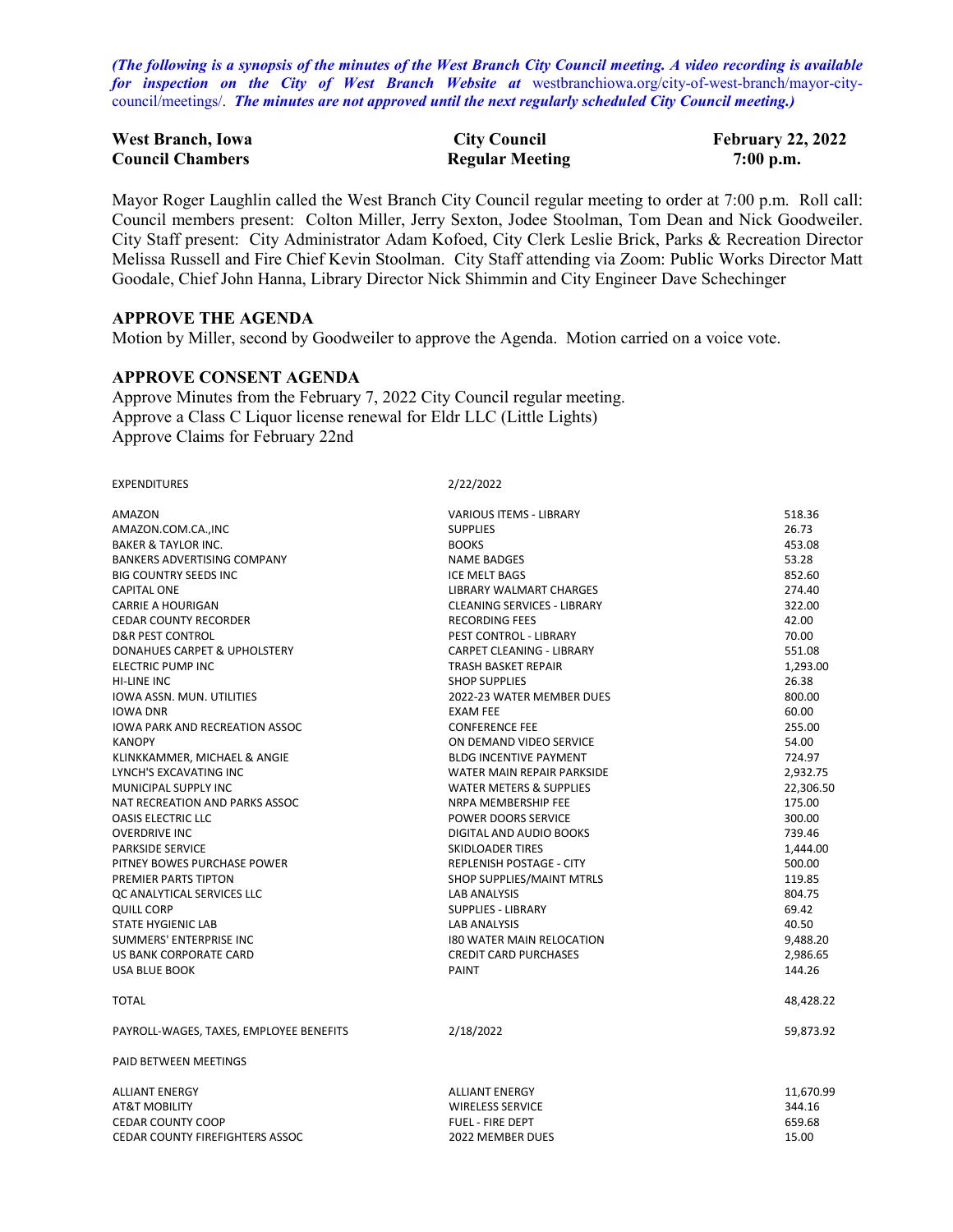*(The following is a synopsis of the minutes of the West Branch City Council meeting. A video recording is available for inspection on the City of West Branch Website at* [westbranchiowa.org/city-of-west-branch/mayor-city](https://westbranchiowa.org/city-of-west-branch/mayor-city-council/meetings/)[council/meetings/.](https://westbranchiowa.org/city-of-west-branch/mayor-city-council/meetings/) *The minutes are not approved until the next regularly scheduled City Council meeting.)*

| <b>West Branch, Iowa</b> | <b>City Council</b>    | <b>February 22, 2022</b> |
|--------------------------|------------------------|--------------------------|
| <b>Council Chambers</b>  | <b>Regular Meeting</b> | $7:00$ p.m.              |

Mayor Roger Laughlin called the West Branch City Council regular meeting to order at 7:00 p.m. Roll call: Council members present: Colton Miller, Jerry Sexton, Jodee Stoolman, Tom Dean and Nick Goodweiler. City Staff present: City Administrator Adam Kofoed, City Clerk Leslie Brick, Parks & Recreation Director Melissa Russell and Fire Chief Kevin Stoolman. City Staff attending via Zoom: Public Works Director Matt Goodale, Chief John Hanna, Library Director Nick Shimmin and City Engineer Dave Schechinger

## **APPROVE THE AGENDA**

Motion by Miller, second by Goodweiler to approve the Agenda. Motion carried on a voice vote.

## **APPROVE CONSENT AGENDA**

Approve Minutes from the February 7, 2022 City Council regular meeting. Approve a Class C Liquor license renewal for Eldr LLC (Little Lights) Approve Claims for February 22nd

| <b>EXPENDITURES</b>                     | 2/22/2022                          |           |
|-----------------------------------------|------------------------------------|-----------|
| AMAZON                                  | <b>VARIOUS ITEMS - LIBRARY</b>     | 518.36    |
| AMAZON.COM.CA., INC                     | <b>SUPPLIES</b>                    | 26.73     |
| <b>BAKER &amp; TAYLOR INC.</b>          | <b>BOOKS</b>                       | 453.08    |
| <b>BANKERS ADVERTISING COMPANY</b>      | <b>NAME BADGES</b>                 | 53.28     |
| <b>BIG COUNTRY SEEDS INC</b>            | <b>ICE MELT BAGS</b>               | 852.60    |
| <b>CAPITAL ONE</b>                      | LIBRARY WALMART CHARGES            | 274.40    |
| <b>CARRIE A HOURIGAN</b>                | <b>CLEANING SERVICES - LIBRARY</b> | 322.00    |
| <b>CEDAR COUNTY RECORDER</b>            | <b>RECORDING FEES</b>              | 42.00     |
| <b>D&amp;R PEST CONTROL</b>             | PEST CONTROL - LIBRARY             | 70.00     |
| DONAHUES CARPET & UPHOLSTERY            | <b>CARPET CLEANING - LIBRARY</b>   | 551.08    |
| ELECTRIC PUMP INC                       | TRASH BASKET REPAIR                | 1,293.00  |
| <b>HI-LINE INC</b>                      | <b>SHOP SUPPLIES</b>               | 26.38     |
| <b>IOWA ASSN. MUN. UTILITIES</b>        | 2022-23 WATER MEMBER DUES          | 800.00    |
| <b>IOWA DNR</b>                         | <b>EXAM FEE</b>                    | 60.00     |
| <b>IOWA PARK AND RECREATION ASSOC</b>   | <b>CONFERENCE FEE</b>              | 255.00    |
| <b>KANOPY</b>                           | ON DEMAND VIDEO SERVICE            | 54.00     |
| KLINKKAMMER, MICHAEL & ANGIE            | <b>BLDG INCENTIVE PAYMENT</b>      | 724.97    |
| LYNCH'S EXCAVATING INC                  | WATER MAIN REPAIR PARKSIDE         | 2,932.75  |
| MUNICIPAL SUPPLY INC                    | <b>WATER METERS &amp; SUPPLIES</b> | 22,306.50 |
| NAT RECREATION AND PARKS ASSOC          | NRPA MEMBERSHIP FEE                | 175.00    |
| <b>OASIS ELECTRIC LLC</b>               | <b>POWER DOORS SERVICE</b>         | 300.00    |
| <b>OVERDRIVE INC</b>                    | DIGITAL AND AUDIO BOOKS            | 739.46    |
| <b>PARKSIDE SERVICE</b>                 | SKIDLOADER TIRES                   | 1,444.00  |
| PITNEY BOWES PURCHASE POWER             | REPLENISH POSTAGE - CITY           | 500.00    |
| PREMIER PARTS TIPTON                    | <b>SHOP SUPPLIES/MAINT MTRLS</b>   | 119.85    |
| OC ANALYTICAL SERVICES LLC              | <b>LAB ANALYSIS</b>                | 804.75    |
| <b>QUILL CORP</b>                       | <b>SUPPLIES - LIBRARY</b>          | 69.42     |
| <b>STATE HYGIENIC LAB</b>               | <b>LAB ANALYSIS</b>                | 40.50     |
| SUMMERS' ENTERPRISE INC                 | <b>180 WATER MAIN RELOCATION</b>   | 9,488.20  |
| US BANK CORPORATE CARD                  | <b>CREDIT CARD PURCHASES</b>       | 2,986.65  |
| <b>USA BLUE BOOK</b>                    | PAINT                              | 144.26    |
| <b>TOTAL</b>                            |                                    | 48,428.22 |
| PAYROLL-WAGES, TAXES, EMPLOYEE BENEFITS | 2/18/2022                          | 59,873.92 |
| PAID BETWEEN MEETINGS                   |                                    |           |
| <b>ALLIANT ENERGY</b>                   | <b>ALLIANT ENERGY</b>              | 11,670.99 |
| AT&T MOBILITY                           | <b>WIRELESS SERVICE</b>            | 344.16    |
| <b>CEDAR COUNTY COOP</b>                | <b>FUEL - FIRE DEPT</b>            | 659.68    |
| <b>CEDAR COUNTY FIREFIGHTERS ASSOC</b>  | 2022 MEMBER DUES                   | 15.00     |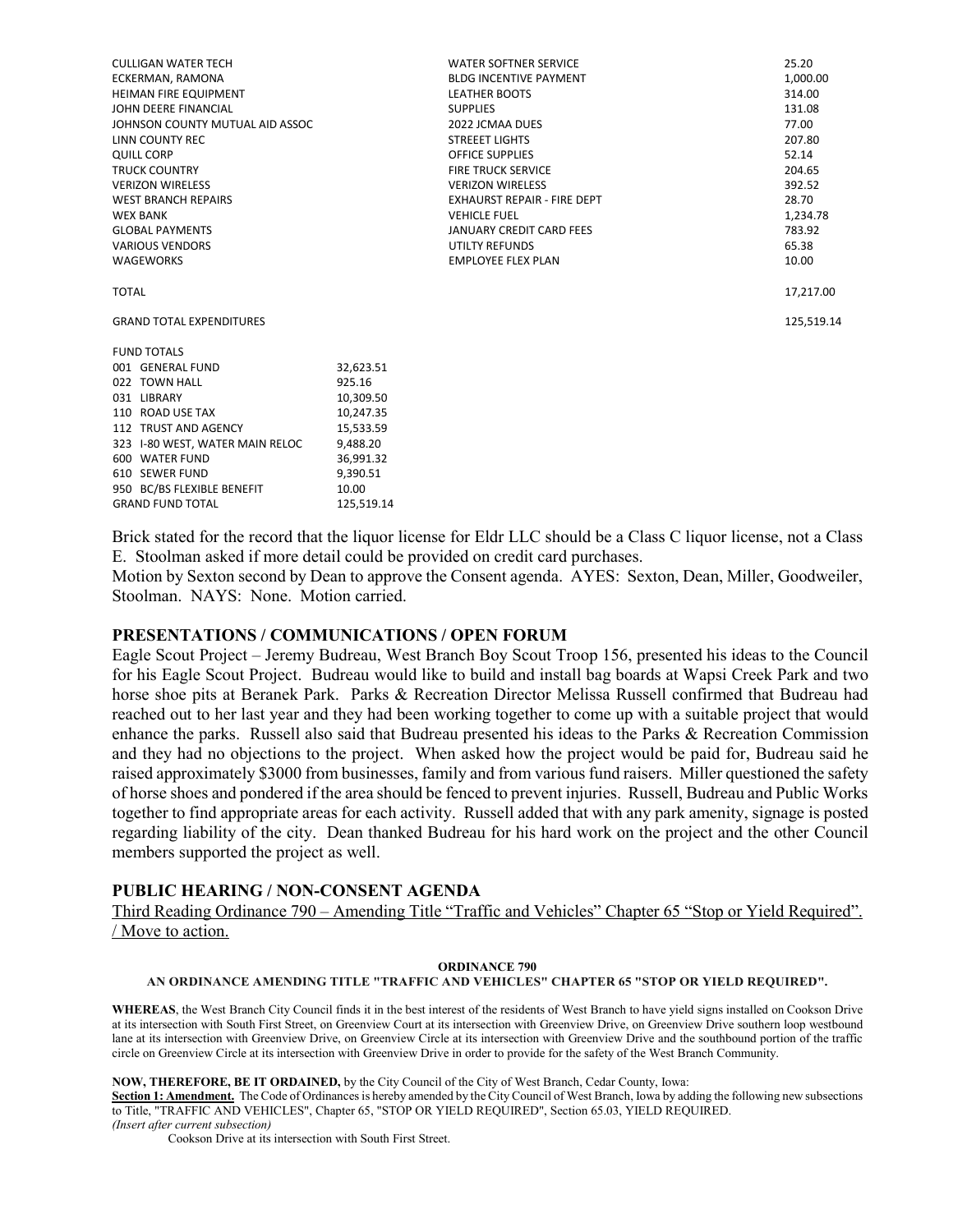| <b>CULLIGAN WATER TECH</b>      |            | <b>WATER SOFTNER SERVICE</b>       | 25.20      |
|---------------------------------|------------|------------------------------------|------------|
| ECKERMAN, RAMONA                |            | <b>BLDG INCENTIVE PAYMENT</b>      | 1,000.00   |
| <b>HEIMAN FIRE EQUIPMENT</b>    |            | <b>LEATHER BOOTS</b>               | 314.00     |
| JOHN DEERE FINANCIAL            |            | <b>SUPPLIES</b>                    | 131.08     |
| JOHNSON COUNTY MUTUAL AID ASSOC |            | 2022 JCMAA DUES                    | 77.00      |
| LINN COUNTY REC                 |            | <b>STREEET LIGHTS</b>              | 207.80     |
| <b>QUILL CORP</b>               |            | <b>OFFICE SUPPLIES</b>             | 52.14      |
| <b>TRUCK COUNTRY</b>            |            | <b>FIRE TRUCK SERVICE</b>          | 204.65     |
| <b>VERIZON WIRELESS</b>         |            | <b>VERIZON WIRELESS</b>            | 392.52     |
| <b>WEST BRANCH REPAIRS</b>      |            | <b>EXHAURST REPAIR - FIRE DEPT</b> | 28.70      |
| <b>WEX BANK</b>                 |            | <b>VEHICLE FUEL</b>                | 1,234.78   |
| <b>GLOBAL PAYMENTS</b>          |            | <b>JANUARY CREDIT CARD FEES</b>    | 783.92     |
| <b>VARIOUS VENDORS</b>          |            | UTILTY REFUNDS                     | 65.38      |
| <b>WAGEWORKS</b>                |            | <b>EMPLOYEE FLEX PLAN</b>          | 10.00      |
| <b>TOTAL</b>                    |            |                                    | 17,217.00  |
| <b>GRAND TOTAL EXPENDITURES</b> |            |                                    | 125,519.14 |
| <b>FUND TOTALS</b>              |            |                                    |            |
| 001 GENERAL FUND                | 32,623.51  |                                    |            |
| 022 TOWN HALL                   | 925.16     |                                    |            |
| 031 LIBRARY                     | 10,309.50  |                                    |            |
| 110 ROAD USE TAX                | 10,247.35  |                                    |            |
| 112 TRUST AND AGENCY            | 15,533.59  |                                    |            |
| 323 I-80 WEST, WATER MAIN RELOC | 9,488.20   |                                    |            |
| 600 WATER FUND                  | 36,991.32  |                                    |            |
| 610 SEWER FUND                  | 9,390.51   |                                    |            |
| 950 BC/BS FLEXIBLE BENEFIT      | 10.00      |                                    |            |
| <b>GRAND FUND TOTAL</b>         | 125.519.14 |                                    |            |

Brick stated for the record that the liquor license for Eldr LLC should be a Class C liquor license, not a Class E. Stoolman asked if more detail could be provided on credit card purchases.

Motion by Sexton second by Dean to approve the Consent agenda. AYES: Sexton, Dean, Miller, Goodweiler, Stoolman. NAYS: None. Motion carried.

#### **PRESENTATIONS / COMMUNICATIONS / OPEN FORUM**

Eagle Scout Project – Jeremy Budreau, West Branch Boy Scout Troop 156, presented his ideas to the Council for his Eagle Scout Project. Budreau would like to build and install bag boards at Wapsi Creek Park and two horse shoe pits at Beranek Park. Parks & Recreation Director Melissa Russell confirmed that Budreau had reached out to her last year and they had been working together to come up with a suitable project that would enhance the parks. Russell also said that Budreau presented his ideas to the Parks & Recreation Commission and they had no objections to the project. When asked how the project would be paid for, Budreau said he raised approximately \$3000 from businesses, family and from various fund raisers. Miller questioned the safety of horse shoes and pondered if the area should be fenced to prevent injuries. Russell, Budreau and Public Works together to find appropriate areas for each activity. Russell added that with any park amenity, signage is posted regarding liability of the city. Dean thanked Budreau for his hard work on the project and the other Council members supported the project as well.

## **PUBLIC HEARING / NON-CONSENT AGENDA**

Third Reading Ordinance 790 – Amending Title "Traffic and Vehicles" Chapter 65 "Stop or Yield Required". / Move to action.

#### **ORDINANCE 790**

**AN ORDINANCE AMENDING TITLE "TRAFFIC AND VEHICLES" CHAPTER 65 "STOP OR YIELD REQUIRED".**

**WHEREAS**, the West Branch City Council finds it in the best interest of the residents of West Branch to have yield signs installed on Cookson Drive at its intersection with South First Street, on Greenview Court at its intersection with Greenview Drive, on Greenview Drive southern loop westbound lane at its intersection with Greenview Drive, on Greenview Circle at its intersection with Greenview Drive and the southbound portion of the traffic circle on Greenview Circle at its intersection with Greenview Drive in order to provide for the safety of the West Branch Community.

#### **NOW, THEREFORE, BE IT ORDAINED,** by the City Council of the City of West Branch, Cedar County, Iowa:

**Section 1: Amendment.** The Code of Ordinances is hereby amended by the City Council of West Branch, Iowa by adding the following new subsections to Title, "TRAFFIC AND VEHICLES", Chapter 65, "STOP OR YIELD REQUIRED", Section 65.03, YIELD REQUIRED. *(Insert after current subsection)*

Cookson Drive at its intersection with South First Street.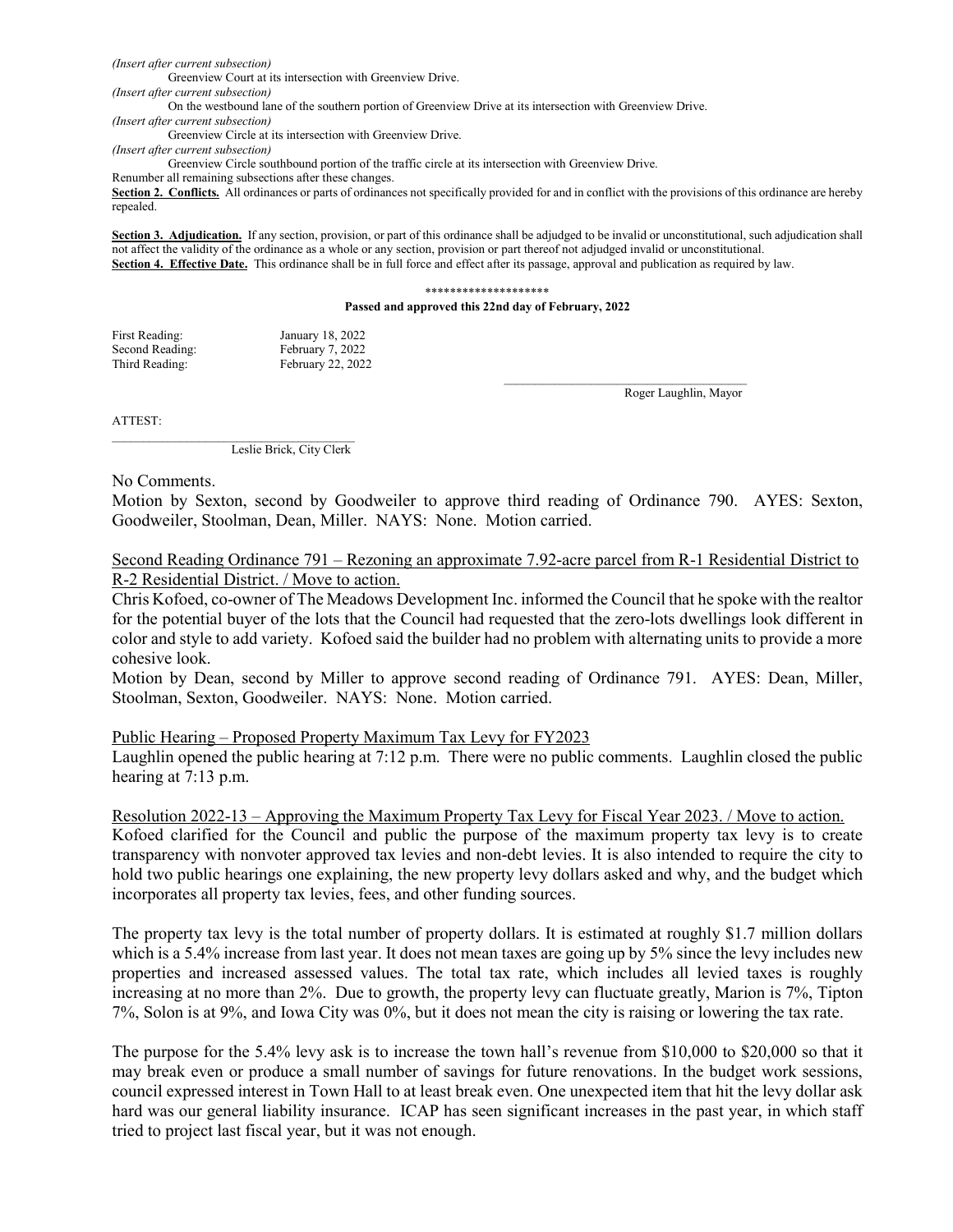*(Insert after current subsection)*

Greenview Court at its intersection with Greenview Drive.

*(Insert after current subsection)*

On the westbound lane of the southern portion of Greenview Drive at its intersection with Greenview Drive.

*(Insert after current subsection)* Greenview Circle at its intersection with Greenview Drive.

*(Insert after current subsection)*

Greenview Circle southbound portion of the traffic circle at its intersection with Greenview Drive.

Renumber all remaining subsections after these changes.

Section 2. Conflicts. All ordinances or parts of ordinances not specifically provided for and in conflict with the provisions of this ordinance are hereby repealed.

**Section 3. Adjudication.** If any section, provision, or part of this ordinance shall be adjudged to be invalid or unconstitutional, such adjudication shall not affect the validity of the ordinance as a whole or any section, provision or part thereof not adjudged invalid or unconstitutional. **Section 4. Effective Date.** This ordinance shall be in full force and effect after its passage, approval and publication as required by law.

#### \*\*\*\*\*\*\*\*\*\*\*\*\*\*\*\*\*\*\*\*

#### **Passed and approved this 22nd day of February, 2022**

| First Reading:  | January 18, 2022  |
|-----------------|-------------------|
| Second Reading: | February 7, 2022  |
| Third Reading:  | February 22, 2022 |

Roger Laughlin, Mayor

ATTEST:

Leslie Brick, City Clerk

No Comments.

Motion by Sexton, second by Goodweiler to approve third reading of Ordinance 790. AYES: Sexton, Goodweiler, Stoolman, Dean, Miller. NAYS: None. Motion carried.

Second Reading Ordinance 791 – Rezoning an approximate 7.92-acre parcel from R-1 Residential District to R-2 Residential District. / Move to action.

Chris Kofoed, co-owner of The Meadows Development Inc. informed the Council that he spoke with the realtor for the potential buyer of the lots that the Council had requested that the zero-lots dwellings look different in color and style to add variety. Kofoed said the builder had no problem with alternating units to provide a more cohesive look.

Motion by Dean, second by Miller to approve second reading of Ordinance 791. AYES: Dean, Miller, Stoolman, Sexton, Goodweiler. NAYS: None. Motion carried.

Public Hearing – Proposed Property Maximum Tax Levy for FY2023

Laughlin opened the public hearing at 7:12 p.m. There were no public comments. Laughlin closed the public hearing at 7:13 p.m.

Resolution 2022-13 – Approving the Maximum Property Tax Levy for Fiscal Year 2023. / Move to action.

Kofoed clarified for the Council and public the purpose of the maximum property tax levy is to create transparency with nonvoter approved tax levies and non-debt levies. It is also intended to require the city to hold two public hearings one explaining, the new property levy dollars asked and why, and the budget which incorporates all property tax levies, fees, and other funding sources.

The property tax levy is the total number of property dollars. It is estimated at roughly \$1.7 million dollars which is a 5.4% increase from last year. It does not mean taxes are going up by 5% since the levy includes new properties and increased assessed values. The total tax rate, which includes all levied taxes is roughly increasing at no more than 2%. Due to growth, the property levy can fluctuate greatly, Marion is 7%, Tipton 7%, Solon is at 9%, and Iowa City was 0%, but it does not mean the city is raising or lowering the tax rate.

The purpose for the 5.4% levy ask is to increase the town hall's revenue from \$10,000 to \$20,000 so that it may break even or produce a small number of savings for future renovations. In the budget work sessions, council expressed interest in Town Hall to at least break even. One unexpected item that hit the levy dollar ask hard was our general liability insurance. ICAP has seen significant increases in the past year, in which staff tried to project last fiscal year, but it was not enough.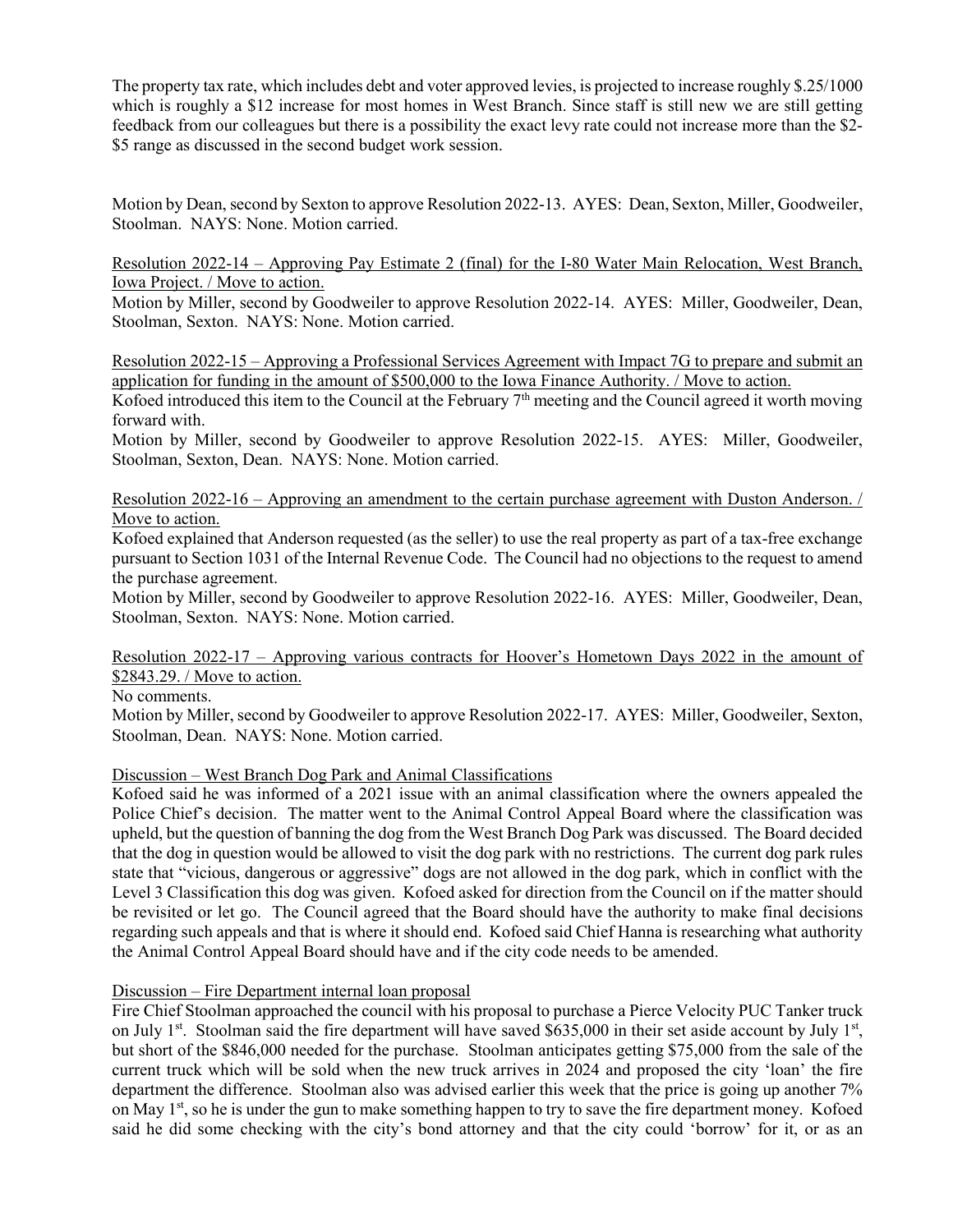The property tax rate, which includes debt and voter approved levies, is projected to increase roughly \$.25/1000 which is roughly a \$12 increase for most homes in West Branch. Since staff is still new we are still getting feedback from our colleagues but there is a possibility the exact levy rate could not increase more than the \$2- \$5 range as discussed in the second budget work session.

Motion by Dean, second by Sexton to approve Resolution 2022-13. AYES: Dean, Sexton, Miller, Goodweiler, Stoolman. NAYS: None. Motion carried.

Resolution 2022-14 – Approving Pay Estimate 2 (final) for the I-80 Water Main Relocation, West Branch, Iowa Project. / Move to action.

Motion by Miller, second by Goodweiler to approve Resolution 2022-14. AYES: Miller, Goodweiler, Dean, Stoolman, Sexton. NAYS: None. Motion carried.

Resolution 2022-15 – Approving a Professional Services Agreement with Impact 7G to prepare and submit an application for funding in the amount of \$500,000 to the Iowa Finance Authority. / Move to action.

Kofoed introduced this item to the Council at the February 7<sup>th</sup> meeting and the Council agreed it worth moving forward with.

Motion by Miller, second by Goodweiler to approve Resolution 2022-15. AYES: Miller, Goodweiler, Stoolman, Sexton, Dean. NAYS: None. Motion carried.

Resolution 2022-16 – Approving an amendment to the certain purchase agreement with Duston Anderson. / Move to action.

Kofoed explained that Anderson requested (as the seller) to use the real property as part of a tax-free exchange pursuant to Section 1031 of the Internal Revenue Code. The Council had no objections to the request to amend the purchase agreement.

Motion by Miller, second by Goodweiler to approve Resolution 2022-16. AYES: Miller, Goodweiler, Dean, Stoolman, Sexton. NAYS: None. Motion carried.

## Resolution 2022-17 – Approving various contracts for Hoover's Hometown Days 2022 in the amount of \$2843.29. / Move to action.

No comments.

Motion by Miller, second by Goodweiler to approve Resolution 2022-17. AYES: Miller, Goodweiler, Sexton, Stoolman, Dean. NAYS: None. Motion carried.

## Discussion – West Branch Dog Park and Animal Classifications

Kofoed said he was informed of a 2021 issue with an animal classification where the owners appealed the Police Chief's decision. The matter went to the Animal Control Appeal Board where the classification was upheld, but the question of banning the dog from the West Branch Dog Park was discussed. The Board decided that the dog in question would be allowed to visit the dog park with no restrictions. The current dog park rules state that "vicious, dangerous or aggressive" dogs are not allowed in the dog park, which in conflict with the Level 3 Classification this dog was given. Kofoed asked for direction from the Council on if the matter should be revisited or let go. The Council agreed that the Board should have the authority to make final decisions regarding such appeals and that is where it should end. Kofoed said Chief Hanna is researching what authority the Animal Control Appeal Board should have and if the city code needs to be amended.

## Discussion – Fire Department internal loan proposal

Fire Chief Stoolman approached the council with his proposal to purchase a Pierce Velocity PUC Tanker truck on July 1<sup>st</sup>. Stoolman said the fire department will have saved \$635,000 in their set aside account by July 1<sup>st</sup>, but short of the \$846,000 needed for the purchase. Stoolman anticipates getting \$75,000 from the sale of the current truck which will be sold when the new truck arrives in 2024 and proposed the city 'loan' the fire department the difference. Stoolman also was advised earlier this week that the price is going up another 7% on May 1<sup>st</sup>, so he is under the gun to make something happen to try to save the fire department money. Kofoed said he did some checking with the city's bond attorney and that the city could 'borrow' for it, or as an